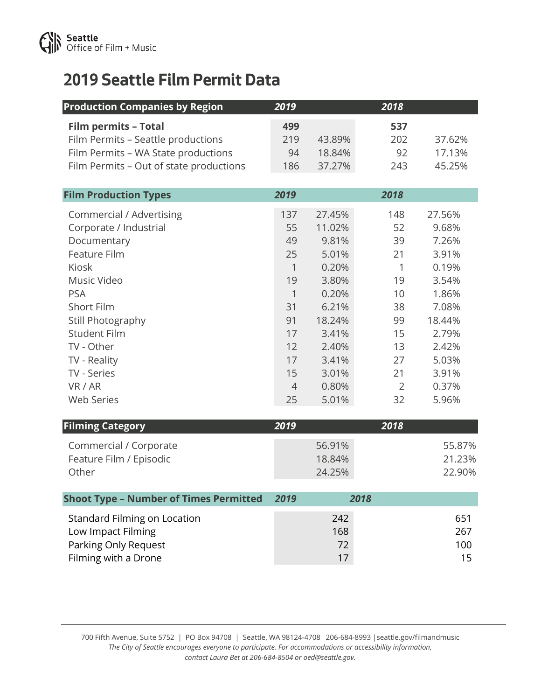

## **2019 Seattle Film Permit Data**

| <b>Production Companies by Region</b>         | 2019           |        | 2018         |        |
|-----------------------------------------------|----------------|--------|--------------|--------|
| <b>Film permits - Total</b>                   | 499            |        | 537          |        |
| Film Permits - Seattle productions            | 219            | 43.89% | 202          | 37.62% |
| Film Permits - WA State productions           | 94             | 18.84% | 92           | 17.13% |
| Film Permits - Out of state productions       | 186            | 37.27% | 243          | 45.25% |
|                                               |                |        |              |        |
| <b>Film Production Types</b>                  | 2019           |        | 2018         |        |
| <b>Commercial / Advertising</b>               | 137            | 27.45% | 148          | 27.56% |
| Corporate / Industrial                        | 55             | 11.02% | 52           | 9.68%  |
| Documentary                                   | 49             | 9.81%  | 39           | 7.26%  |
| <b>Feature Film</b>                           | 25             | 5.01%  | 21           | 3.91%  |
| Kiosk                                         | $\mathbf{1}$   | 0.20%  | $\mathbf{1}$ | 0.19%  |
| Music Video                                   | 19             | 3.80%  | 19           | 3.54%  |
| <b>PSA</b>                                    | 1              | 0.20%  | 10           | 1.86%  |
| Short Film                                    | 31             | 6.21%  | 38           | 7.08%  |
| Still Photography                             | 91             | 18.24% | 99           | 18.44% |
| <b>Student Film</b>                           | 17             | 3.41%  | 15           | 2.79%  |
| TV - Other                                    | 12             | 2.40%  | 13           | 2.42%  |
| TV - Reality                                  | 17             | 3.41%  | 27           | 5.03%  |
| TV - Series                                   | 15             | 3.01%  | 21           | 3.91%  |
| VR / AR                                       | $\overline{4}$ | 0.80%  | 2            | 0.37%  |
| <b>Web Series</b>                             | 25             | 5.01%  | 32           | 5.96%  |
| <b>Filming Category</b>                       | 2019           |        | 2018         |        |
|                                               |                |        |              |        |
| Commercial / Corporate                        |                | 56.91% |              | 55.87% |
| Feature Film / Episodic                       |                | 18.84% |              | 21.23% |
| Other                                         |                | 24.25% |              | 22.90% |
| <b>Shoot Type - Number of Times Permitted</b> | 2019           |        | 2018         |        |
| <b>Standard Filming on Location</b>           |                | 242    |              | 651    |
| Louisanot Filming                             |                | 1CO    |              | 207    |

Low Impact Filming 267 Parking Only Request 200 Filming with a Drone 17 15

700 Fifth Avenue, Suite 5752 | PO Box 94708 | Seattle, WA 98124-4708 206-684-8993 |seattle.gov/filmandmusic *The City of Seattle encourages everyone to participate. For accommodations or accessibility information, contact Laura Bet at 206-684-8504 or oed@seattle.gov.*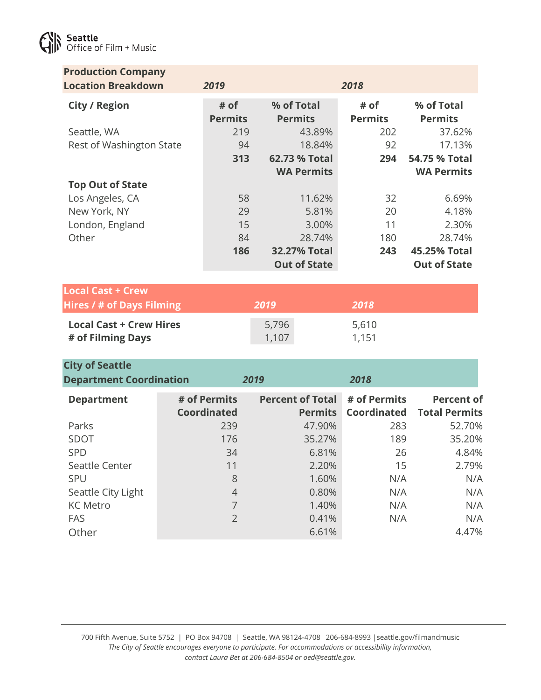

| <b>Production Company</b><br><b>Location Breakdown</b> | 2019                               |       |                                           | 2018                               |                                           |
|--------------------------------------------------------|------------------------------------|-------|-------------------------------------------|------------------------------------|-------------------------------------------|
| <b>City / Region</b>                                   | # of<br><b>Permits</b>             |       | % of Total<br><b>Permits</b>              | # of<br><b>Permits</b>             | % of Total<br><b>Permits</b>              |
| Seattle, WA                                            | 219                                |       | 43.89%                                    | 202                                | 37.62%                                    |
| Rest of Washington State                               | 94                                 |       | 18.84%                                    | 92                                 | 17.13%                                    |
|                                                        | 313                                |       | 62.73 % Total                             | 294                                | 54.75 % Total                             |
|                                                        |                                    |       | <b>WA Permits</b>                         |                                    | <b>WA Permits</b>                         |
| <b>Top Out of State</b>                                |                                    |       |                                           |                                    |                                           |
| Los Angeles, CA                                        | 58                                 |       | 11.62%                                    | 32                                 | 6.69%                                     |
| New York, NY                                           | 29                                 |       | 5.81%                                     | 20                                 | 4.18%                                     |
| London, England                                        | 15                                 |       | 3.00%                                     | 11                                 | 2.30%                                     |
| Other                                                  | 84                                 |       | 28.74%                                    | 180                                | 28.74%                                    |
|                                                        | 186                                |       | <b>32.27% Total</b>                       | 243                                | 45.25% Total                              |
|                                                        |                                    |       | <b>Out of State</b>                       |                                    | <b>Out of State</b>                       |
| <b>Local Cast + Crew</b>                               |                                    |       |                                           |                                    |                                           |
| <b>Hires / # of Days Filming</b>                       |                                    | 2019  |                                           | 2018                               |                                           |
| <b>Local Cast + Crew Hires</b>                         |                                    | 5,796 |                                           | 5,610                              |                                           |
| # of Filming Days                                      |                                    | 1,107 |                                           | 1,151                              |                                           |
|                                                        |                                    |       |                                           |                                    |                                           |
| <b>City of Seattle</b>                                 |                                    |       |                                           |                                    |                                           |
| <b>Department Coordination</b>                         |                                    | 2019  |                                           | 2018                               |                                           |
| <b>Department</b>                                      | # of Permits<br><b>Coordinated</b> |       | <b>Percent of Total</b><br><b>Permits</b> | # of Permits<br><b>Coordinated</b> | <b>Percent of</b><br><b>Total Permits</b> |
| Parks                                                  | 239                                |       | 47.90%                                    | 283                                | 52.70%                                    |
| SDOT                                                   | 176                                |       | 35.27%                                    | 189                                | 35.20%                                    |

700 Fifth Avenue, Suite 5752 | PO Box 94708 | Seattle, WA 98124-4708 206-684-8993 |seattle.gov/filmandmusic *The City of Seattle encourages everyone to participate. For accommodations or accessibility information, contact Laura Bet at 206-684-8504 or oed@seattle.gov.*

SPD 34 6.81% 26 4.84% Seattle Center 11 1 2.20% 15 2.79% SPU 8 1.60% N/A N/A Seattle City Light  $\begin{array}{ccc} 4 & 0.80\% & \text{N/A} \end{array}$ KC Metro 7 1.40% N/A N/A FAS 2 0.41% N/A N/A Other 6.61% 6.61% 6.61% 4.47%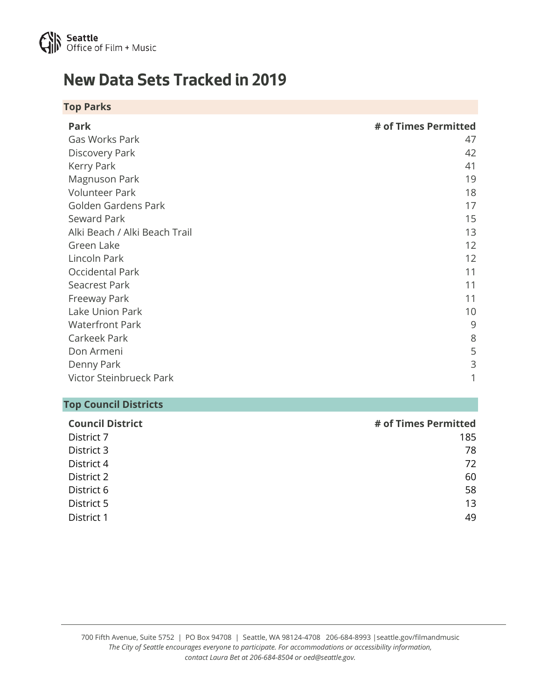

## **New Data Sets Tracked in 2019**

| <b>Top Parks</b>              |                      |
|-------------------------------|----------------------|
| Park                          | # of Times Permitted |
| Gas Works Park                | 47                   |
| Discovery Park                | 42                   |
| Kerry Park                    | 41                   |
| Magnuson Park                 | 19                   |
| <b>Volunteer Park</b>         | 18                   |
| Golden Gardens Park           | 17                   |
| Seward Park                   | 15                   |
| Alki Beach / Alki Beach Trail | 13                   |
| Green Lake                    | 12                   |
| Lincoln Park                  | 12                   |
| Occidental Park               | 11                   |
| <b>Seacrest Park</b>          | 11                   |
| Freeway Park                  | 11                   |
| Lake Union Park               | 10                   |
| <b>Waterfront Park</b>        | 9                    |
| Carkeek Park                  | 8                    |
| Don Armeni                    | 5                    |
| Denny Park                    | 3                    |
| Victor Steinbrueck Park       | 1                    |

## **Top Council Districts**

| <b>Council District</b> | # of Times Permitted |
|-------------------------|----------------------|
| District 7              | 185                  |
| District 3              | 78                   |
| District 4              | 72                   |
| District 2              | 60                   |
| District 6              | 58                   |
| District 5              | 13                   |
| District 1              | 49                   |